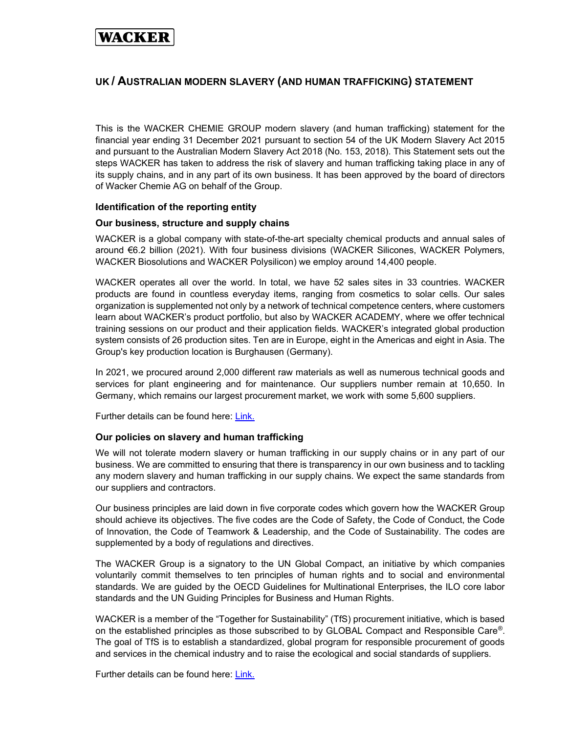# WACKER

# UK / AUSTRALIAN MODERN SLAVERY (AND HUMAN TRAFFICKING) STATEMENT

This is the WACKER CHEMIE GROUP modern slavery (and human trafficking) statement for the financial year ending 31 December 2021 pursuant to section 54 of the UK Modern Slavery Act 2015 and pursuant to the Australian Modern Slavery Act 2018 (No. 153, 2018). This Statement sets out the steps WACKER has taken to address the risk of slavery and human trafficking taking place in any of its supply chains, and in any part of its own business. It has been approved by the board of directors of Wacker Chemie AG on behalf of the Group.

## Identification of the reporting entity

## Our business, structure and supply chains

WACKER is a global company with state-of-the-art specialty chemical products and annual sales of around €6.2 billion (2021). With four business divisions (WACKER Silicones, WACKER Polymers, WACKER Biosolutions and WACKER Polysilicon) we employ around 14,400 people.

WACKER operates all over the world. In total, we have 52 sales sites in 33 countries. WACKER products are found in countless everyday items, ranging from cosmetics to solar cells. Our sales organization is supplemented not only by a network of technical competence centers, where customers learn about WACKER's product portfolio, but also by WACKER ACADEMY, where we offer technical training sessions on our product and their application fields. WACKER's integrated global production system consists of 26 production sites. Ten are in Europe, eight in the Americas and eight in Asia. The Group's key production location is Burghausen (Germany).

In 2021, we procured around 2,000 different raw materials as well as numerous technical goods and services for plant engineering and for maintenance. Our suppliers number remain at 10,650. In Germany, which remains our largest procurement market, we work with some 5,600 suppliers.

Further details can be found here: Link.

# Our policies on slavery and human trafficking

We will not tolerate modern slavery or human trafficking in our supply chains or in any part of our business. We are committed to ensuring that there is transparency in our own business and to tackling any modern slavery and human trafficking in our supply chains. We expect the same standards from our suppliers and contractors.

Our business principles are laid down in five corporate codes which govern how the WACKER Group should achieve its objectives. The five codes are the Code of Safety, the Code of Conduct, the Code of Innovation, the Code of Teamwork & Leadership, and the Code of Sustainability. The codes are supplemented by a body of regulations and directives.

The WACKER Group is a signatory to the UN Global Compact, an initiative by which companies voluntarily commit themselves to ten principles of human rights and to social and environmental standards. We are guided by the OECD Guidelines for Multinational Enterprises, the ILO core labor standards and the UN Guiding Principles for Business and Human Rights.

WACKER is a member of the "Together for Sustainability" (TfS) procurement initiative, which is based on the established principles as those subscribed to by GLOBAL Compact and Responsible Care®. The goal of TfS is to establish a standardized, global program for responsible procurement of goods and services in the chemical industry and to raise the ecological and social standards of suppliers.

Further details can be found here: Link.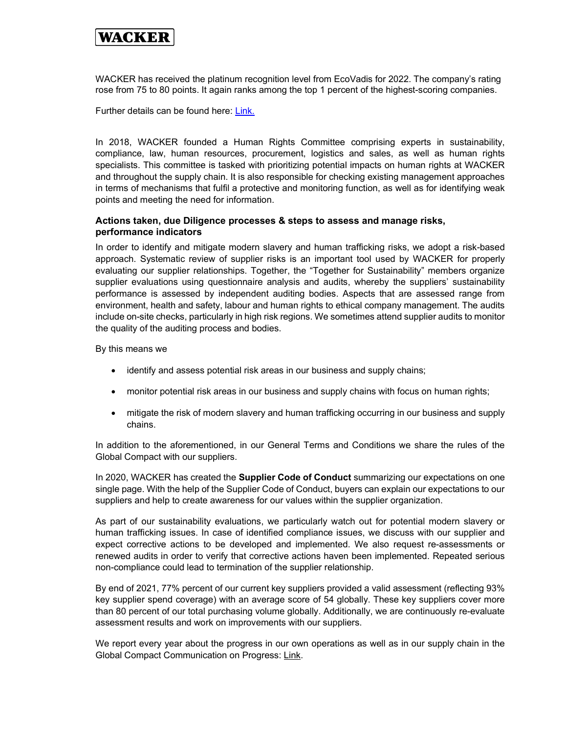# WACKER

WACKER has received the platinum recognition level from EcoVadis for 2022. The company's rating rose from 75 to 80 points. It again ranks among the top 1 percent of the highest-scoring companies.

Further details can be found here: Link.

In 2018, WACKER founded a Human Rights Committee comprising experts in sustainability, compliance, law, human resources, procurement, logistics and sales, as well as human rights specialists. This committee is tasked with prioritizing potential impacts on human rights at WACKER and throughout the supply chain. It is also responsible for checking existing management approaches in terms of mechanisms that fulfil a protective and monitoring function, as well as for identifying weak points and meeting the need for information.

## Actions taken, due Diligence processes & steps to assess and manage risks, performance indicators

In order to identify and mitigate modern slavery and human trafficking risks, we adopt a risk-based approach. Systematic review of supplier risks is an important tool used by WACKER for properly evaluating our supplier relationships. Together, the "Together for Sustainability" members organize supplier evaluations using questionnaire analysis and audits, whereby the suppliers' sustainability performance is assessed by independent auditing bodies. Aspects that are assessed range from environment, health and safety, labour and human rights to ethical company management. The audits include on-site checks, particularly in high risk regions. We sometimes attend supplier audits to monitor the quality of the auditing process and bodies.

By this means we

- identify and assess potential risk areas in our business and supply chains;
- monitor potential risk areas in our business and supply chains with focus on human rights;
- mitigate the risk of modern slavery and human trafficking occurring in our business and supply chains.

In addition to the aforementioned, in our General Terms and Conditions we share the rules of the Global Compact with our suppliers.

In 2020, WACKER has created the **Supplier Code of Conduct** summarizing our expectations on one single page. With the help of the Supplier Code of Conduct, buyers can explain our expectations to our suppliers and help to create awareness for our values within the supplier organization.

As part of our sustainability evaluations, we particularly watch out for potential modern slavery or human trafficking issues. In case of identified compliance issues, we discuss with our supplier and expect corrective actions to be developed and implemented. We also request re-assessments or renewed audits in order to verify that corrective actions haven been implemented. Repeated serious non-compliance could lead to termination of the supplier relationship.

By end of 2021, 77% percent of our current key suppliers provided a valid assessment (reflecting 93% key supplier spend coverage) with an average score of 54 globally. These key suppliers cover more than 80 percent of our total purchasing volume globally. Additionally, we are continuously re-evaluate assessment results and work on improvements with our suppliers.

We report every year about the progress in our own operations as well as in our supply chain in the Global Compact Communication on Progress: Link.